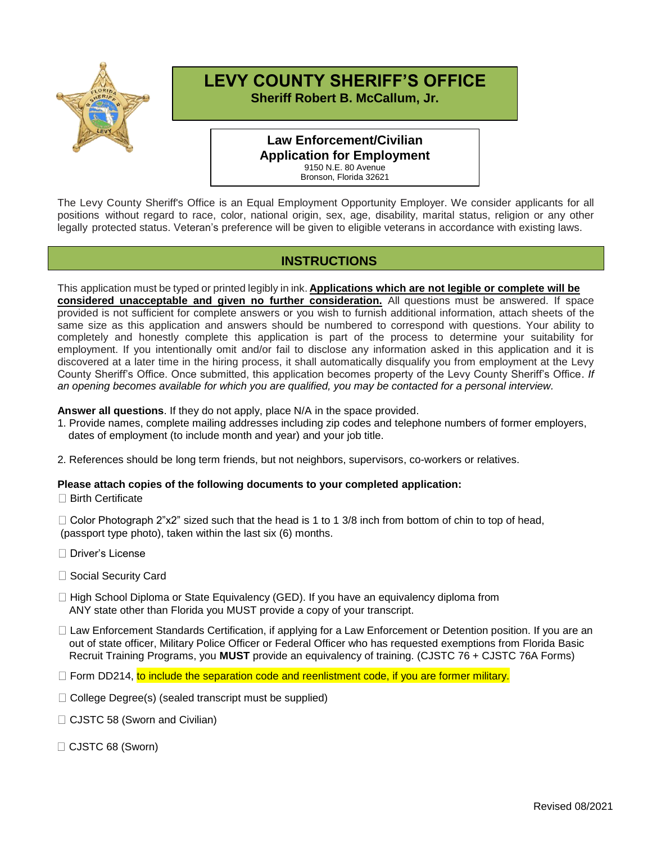

## **LEVY COUNTY SHERIFF'S OFFICE**

**Sheriff Robert B. McCallum, Jr.**

#### **Law Enforcement/Civilian Application for Employment** 9150 N.E. 80 Avenue

Bronson, Florida 32621

The Levy County Sheriff's Office is an Equal Employment Opportunity Employer. We consider applicants for all positions without regard to race, color, national origin, sex, age, disability, marital status, religion or any other legally protected status. Veteran's preference will be given to eligible veterans in accordance with existing laws.

### **INSTRUCTIONS**

This application must be typed or printed legibly in ink. **Applications which are not legible or complete will be considered unacceptable and given no further consideration.** All questions must be answered. If space provided is not sufficient for complete answers or you wish to furnish additional information, attach sheets of the same size as this application and answers should be numbered to correspond with questions. Your ability to completely and honestly complete this application is part of the process to determine your suitability for employment. If you intentionally omit and/or fail to disclose any information asked in this application and it is discovered at a later time in the hiring process, it shall automatically disqualify you from employment at the Levy County Sheriff's Office. Once submitted, this application becomes property of the Levy County Sheriff's Office. *If an opening becomes available for which you are qualified, you may be contacted for a personal interview.*

**Answer all questions**. If they do not apply, place N/A in the space provided.

1. Provide names, complete mailing addresses including zip codes and telephone numbers of former employers, dates of employment (to include month and year) and your job title.

2. References should be long term friends, but not neighbors, supervisors, co-workers or relatives.

#### **Please attach copies of the following documents to your completed application:**

□ Birth Certificate

 $\Box$  Color Photograph 2"x2" sized such that the head is 1 to 1 3/8 inch from bottom of chin to top of head, (passport type photo), taken within the last six (6) months.

- □ Driver's License
- □ Social Security Card
- $\Box$  High School Diploma or State Equivalency (GED). If you have an equivalency diploma from ANY state other than Florida you MUST provide a copy of your transcript.
- □ Law Enforcement Standards Certification, if applying for a Law Enforcement or Detention position. If you are an out of state officer, Military Police Officer or Federal Officer who has requested exemptions from Florida Basic Recruit Training Programs, you **MUST** provide an equivalency of training. (CJSTC 76 + CJSTC 76A Forms)
- $\Box$  Form DD214, to include the separation code and reenlistment code, if you are former military.
- $\Box$  College Degree(s) (sealed transcript must be supplied)
- □ CJSTC 58 (Sworn and Civilian)
- CJSTC 68 (Sworn)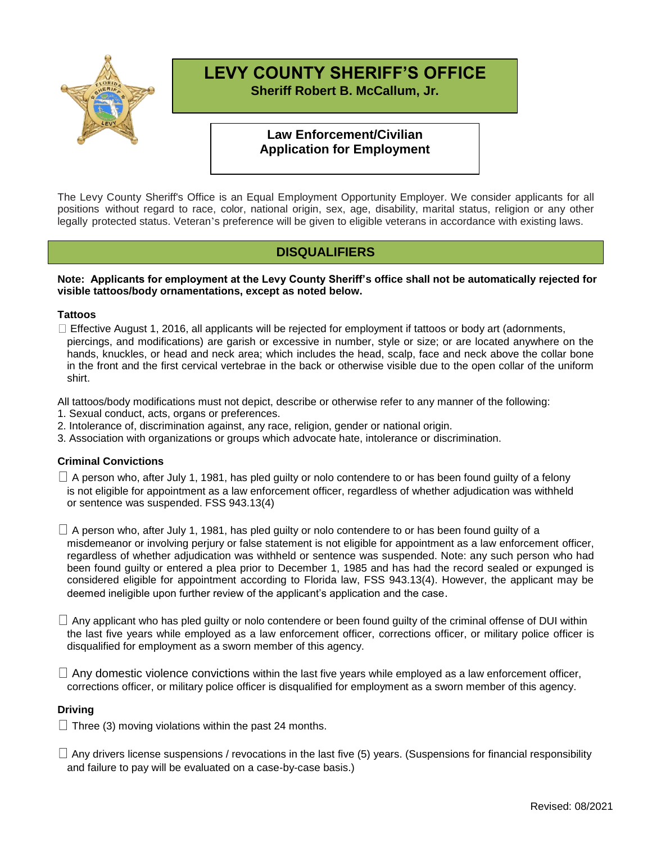

### **LEVY COUNTY SHERIFF'S OFFICE Sheriff Robert B. McCallum, Jr.**

#### **Law Enforcement/Civilian Application for Employment**

The Levy County Sheriff's Office is an Equal Employment Opportunity Employer. We consider applicants for all positions without regard to race, color, national origin, sex, age, disability, marital status, religion or any other legally protected status. Veteran's preference will be given to eligible veterans in accordance with existing laws.

### **DISQUALIFIERS**

#### **Note: Applicants for employment at the Levy County Sheriff's office shall not be automatically rejected for visible tattoos/body ornamentations, except as noted below.**

#### **Tattoos**

 $\Box$  Effective August 1, 2016, all applicants will be rejected for employment if tattoos or body art (adornments, piercings, and modifications) are garish or excessive in number, style or size; or are located anywhere on the hands, knuckles, or head and neck area; which includes the head, scalp, face and neck above the collar bone in the front and the first cervical vertebrae in the back or otherwise visible due to the open collar of the uniform shirt.

All tattoos/body modifications must not depict, describe or otherwise refer to any manner of the following:

- 1. Sexual conduct, acts, organs or preferences.
- 2. Intolerance of, discrimination against, any race, religion, gender or national origin.
- 3. Association with organizations or groups which advocate hate, intolerance or discrimination.

#### **Criminal Convictions**

 $\Box$  A person who, after July 1, 1981, has pled guilty or nolo contendere to or has been found guilty of a felony is not eligible for appointment as a law enforcement officer, regardless of whether adjudication was withheld or sentence was suspended. FSS 943.13(4)

 $\Box$  A person who, after July 1, 1981, has pled guilty or nolo contendere to or has been found guilty of a misdemeanor or involving perjury or false statement is not eligible for appointment as a law enforcement officer, regardless of whether adjudication was withheld or sentence was suspended. Note: any such person who had been found guilty or entered a plea prior to December 1, 1985 and has had the record sealed or expunged is considered eligible for appointment according to Florida law, FSS 943.13(4). However, the applicant may be deemed ineligible upon further review of the applicant's application and the case.

 $\Box$  Any applicant who has pled guilty or nolo contendere or been found guilty of the criminal offense of DUI within the last five years while employed as a law enforcement officer, corrections officer, or military police officer is disqualified for employment as a sworn member of this agency.

 $\Box$  Any domestic violence convictions within the last five years while employed as a law enforcement officer, corrections officer, or military police officer is disqualified for employment as a sworn member of this agency.

#### **Driving**

 $\Box$  Three (3) moving violations within the past 24 months.

 $\Box$  Any drivers license suspensions / revocations in the last five (5) years. (Suspensions for financial responsibility and failure to pay will be evaluated on a case-by-case basis.)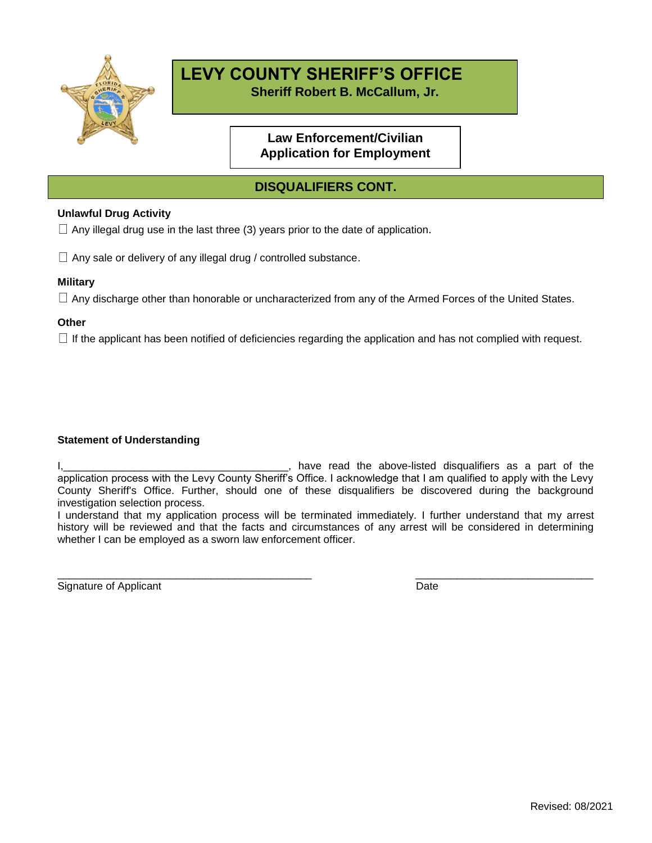

# **LEVY COUNTY SHERIFF'S OFFICE**

**Sheriff Robert B. McCallum, Jr.**

### **Law Enforcement/Civilian Application for Employment**

### **DISQUALIFIERS CONT.**

#### **Unlawful Drug Activity**

 $\Box$  Any illegal drug use in the last three (3) years prior to the date of application.

 $\Box$  Any sale or delivery of any illegal drug / controlled substance.

#### **Military**

 $\Box$  Any discharge other than honorable or uncharacterized from any of the Armed Forces of the United States.

#### **Other**

 $\Box$  If the applicant has been notified of deficiencies regarding the application and has not complied with request.

#### **Statement of Understanding**

I, 1, 2008, 1, 2008, 1, 2008, 1, 2008, 1, 2008, 1, 2008, 1, 2008, 1, 2008, 1, 2008, 1, 2008, 1, 2008, 1, 2008, 1, 2008, 1, 2008, 1, 2008, 1, 2008, 1, 2008, 1, 2008, 1, 2008, 1, 2008, 1, 2008, 1, 2008, 1, 2008, 1, 2008, 1, application process with the Levy County Sheriff's Office. I acknowledge that I am qualified to apply with the Levy County Sheriff's Office. Further, should one of these disqualifiers be discovered during the background investigation selection process.

I understand that my application process will be terminated immediately. I further understand that my arrest history will be reviewed and that the facts and circumstances of any arrest will be considered in determining whether I can be employed as a sworn law enforcement officer.

\_\_\_\_\_\_\_\_\_\_\_\_\_\_\_\_\_\_\_\_\_\_\_\_\_\_\_\_\_\_\_\_\_\_\_\_\_\_\_\_\_\_\_ \_\_\_\_\_\_\_\_\_\_\_\_\_\_\_\_\_\_\_\_\_\_\_\_\_\_\_\_\_\_ Signature of Applicant Date Date Date Date Date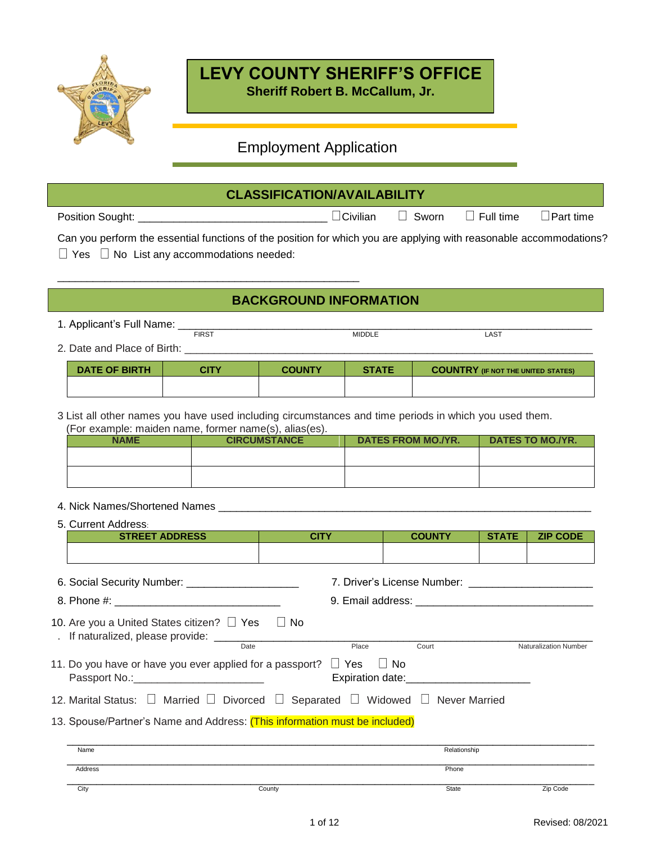

## **LEVY COUNTY SHERIFF'S OFFICE**

**Sheriff Robert B. McCallum, Jr.**

### Employment Application

### **CLASSIFICATION/AVAILABILITY**

| Position Sought: | $\sim$ $\sim$<br>ùviliar | Sworn<br>______ | $\Box$ Full time<br>$\sim$ $\sim$ | Part time<br>_____ |
|------------------|--------------------------|-----------------|-----------------------------------|--------------------|
|------------------|--------------------------|-----------------|-----------------------------------|--------------------|

| Can you perform the essential functions of the position for which you are applying with reasonable accommodations? |  |  |
|--------------------------------------------------------------------------------------------------------------------|--|--|
| $\Box$ Yes $\Box$ No List any accommodations needed:                                                               |  |  |

### **BACKGROUND INFORMATION**

- 1. Applicant's Full Name: \_\_\_\_\_\_\_\_\_\_\_\_\_\_\_\_\_\_\_\_\_\_\_\_\_\_\_\_\_\_\_\_\_\_\_\_\_\_\_\_\_\_\_\_\_\_\_\_\_\_\_\_\_\_\_\_\_\_\_\_\_\_\_\_\_\_\_\_\_\_
- FIRST EXAMPLE A SERVICE A MIDDLE AND MIDDLE 2. Date and Place of Birth:

\_\_\_\_\_\_\_\_\_\_\_\_\_\_\_\_\_\_\_\_\_\_\_\_\_\_\_\_\_\_\_\_\_\_\_\_\_\_\_\_\_\_\_\_\_\_\_\_\_\_\_

| DATE OF BIRTH | CITY | <b>COUNTY</b> | <b>STATE</b> | <b>COUNTRY (IF NOT THE UNITED STATES)</b> |
|---------------|------|---------------|--------------|-------------------------------------------|
|               |      |               |              |                                           |

3 List all other names you have used including circumstances and time periods in which you used them. (For example: maiden name, former name(s), alias(es).

| <b>NAME</b> | <b>CIRCUMSTANCE</b> | DATES FROM MO./YR. | DATES TO MO./YR. |
|-------------|---------------------|--------------------|------------------|
|             |                     |                    |                  |
|             |                     |                    |                  |
|             |                     |                    |                  |

#### 4. Nick Names/Shortened Names \_

5. Current Address: **STREET ADDRESS CITY COUNTY STATE ZIP CODE** 6. Social Security Number: \_\_\_\_\_\_\_\_\_\_\_\_\_\_\_\_\_\_\_ 7. Driver's License Number: \_\_\_\_\_\_\_\_\_\_\_\_\_\_\_\_\_\_\_\_\_ 8. Phone #: \_\_\_\_\_\_\_\_\_\_\_\_\_\_\_\_\_\_\_\_\_\_\_\_\_\_\_\_ 9. Email address: \_\_\_\_\_\_\_\_\_\_\_\_\_\_\_\_\_\_\_\_\_\_\_\_\_\_\_\_\_\_ 10. Are you a United States citizen?  $\Box$  Yes  $\Box$  No . If naturalized, please provide: \_\_\_\_\_\_\_\_\_\_\_\_\_\_\_\_\_\_\_\_\_\_\_\_\_\_\_\_\_\_\_\_\_\_\_\_\_\_\_\_\_\_\_\_\_\_\_\_\_\_\_\_\_\_\_\_\_\_\_\_\_\_\_\_ **Naturalization Number** 11. Do you have or have you ever applied for a passport?  $\Box$  Yes  $\Box$  No Passport No.:\_\_\_\_\_\_\_\_\_\_\_\_\_\_\_\_\_\_\_\_\_\_ Expiration date:\_\_\_\_\_\_\_\_\_\_\_\_\_\_\_\_\_\_\_\_\_ 12. Marital Status:  $\Box$  Married  $\Box$  Divorced  $\Box$  Separated  $\Box$  Widowed  $\Box$  Never Married 13. Spouse/Partner's Name and Address: (This information must be included) \_\_\_\_\_\_\_\_\_\_\_\_\_\_\_\_\_\_\_\_\_\_\_\_\_\_\_\_\_\_\_\_\_\_\_\_\_\_\_\_\_\_\_\_\_\_\_\_\_\_\_\_\_\_\_\_\_\_\_\_\_\_\_\_\_\_\_\_\_\_\_\_\_\_\_\_\_\_\_\_\_\_\_\_\_\_\_\_\_ Name Relationship is a state of the control of the control of the control of the control of the control of the control of the control of the control of the control of the control of the control of the control of the contro \_\_\_\_\_\_\_\_\_\_\_\_\_\_\_\_\_\_\_\_\_\_\_\_\_\_\_\_\_\_\_\_\_\_\_\_\_\_\_\_\_\_\_\_\_\_\_\_\_\_\_\_\_\_\_\_\_\_\_\_\_\_\_\_\_\_\_\_\_\_\_\_\_\_\_\_\_\_\_\_\_\_\_\_\_\_\_\_\_ Address Phone \_\_\_\_\_\_\_\_\_\_\_\_\_\_\_\_\_\_\_\_\_\_\_\_\_\_\_\_\_\_\_\_\_\_\_\_\_\_\_\_\_\_\_\_\_\_\_\_\_\_\_\_\_\_\_\_\_\_\_\_\_\_\_\_\_\_\_\_\_\_\_\_\_\_\_\_\_\_\_\_\_\_\_\_\_\_\_\_\_

City and the County County County County County State State Zip Code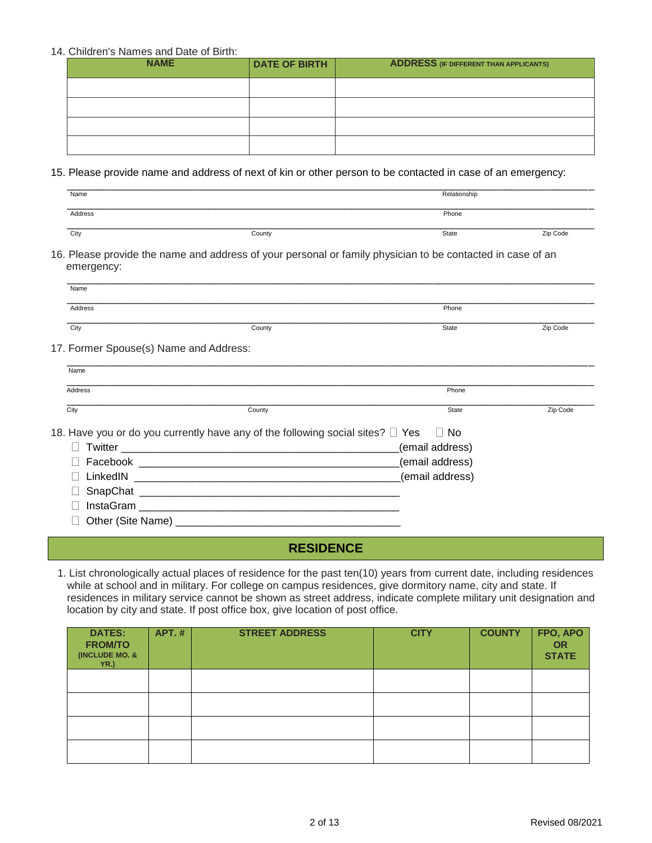#### 14. Children's Names and Date of Birth:

| <b>NAME</b> | <b>DATE OF BIRTH</b> | <b>ADDRESS</b> (IF DIFFERENT THAN APPLICANTS) |
|-------------|----------------------|-----------------------------------------------|
|             |                      |                                               |
|             |                      |                                               |
|             |                      |                                               |
|             |                      |                                               |

#### 15. Please provide name and address of next of kin or other person to be contacted in case of an emergency:

| Name    |        | Relationship |          |
|---------|--------|--------------|----------|
|         |        |              |          |
| Address |        | Phone        |          |
| City    | County | State        | Zip Code |

16. Please provide the name and address of your personal or family physician to be contacted in case of an emergency:

| Name    |        |       |          |
|---------|--------|-------|----------|
|         |        |       |          |
| Address |        | Phone |          |
| City    | County | State | Zip Code |

17. Former Spouse(s) Name and Address:

| Name     |                                                                                               |                 |          |
|----------|-----------------------------------------------------------------------------------------------|-----------------|----------|
| Address  |                                                                                               | Phone           |          |
| City     | County                                                                                        | State           | Zip Code |
|          | 18. Have you or do you currently have any of the following social sites? $\Box$ Yes $\Box$ No |                 |          |
| Twitter  |                                                                                               | (email address) |          |
| Facebook |                                                                                               | (email address) |          |

LinkedIN \_\_\_\_\_\_\_\_\_\_\_\_\_\_\_\_\_\_\_\_\_\_\_\_\_\_\_\_\_\_\_\_\_\_\_\_\_\_\_\_\_\_\_\_\_(email address)

 $\Box$  SnapChat

InstaGram \_\_\_\_\_\_\_\_\_\_\_\_\_\_\_\_\_\_\_\_\_\_\_\_\_\_\_\_\_\_\_\_\_\_\_\_\_\_\_\_\_\_\_\_

Other (Site Name) \_\_\_\_\_\_\_\_\_\_\_\_\_\_\_\_\_\_\_\_\_\_\_\_\_\_\_\_\_\_\_\_\_\_\_\_\_\_

### **RESIDENCE**

1. List chronologically actual places of residence for the past ten(10) years from current date, including residences while at school and in military. For college on campus residences, give dormitory name, city and state. If residences in military service cannot be shown as street address, indicate complete military unit designation and location by city and state. If post office box, give location of post office.

| <b>DATES:</b><br><b>FROM/TO</b><br>(INCLUDE MO. &<br>YR.) | <b>APT.#</b> | <b>STREET ADDRESS</b> | <b>CITY</b> | <b>COUNTY</b> | FPO, APO<br>OR<br><b>STATE</b> |
|-----------------------------------------------------------|--------------|-----------------------|-------------|---------------|--------------------------------|
|                                                           |              |                       |             |               |                                |
|                                                           |              |                       |             |               |                                |
|                                                           |              |                       |             |               |                                |
|                                                           |              |                       |             |               |                                |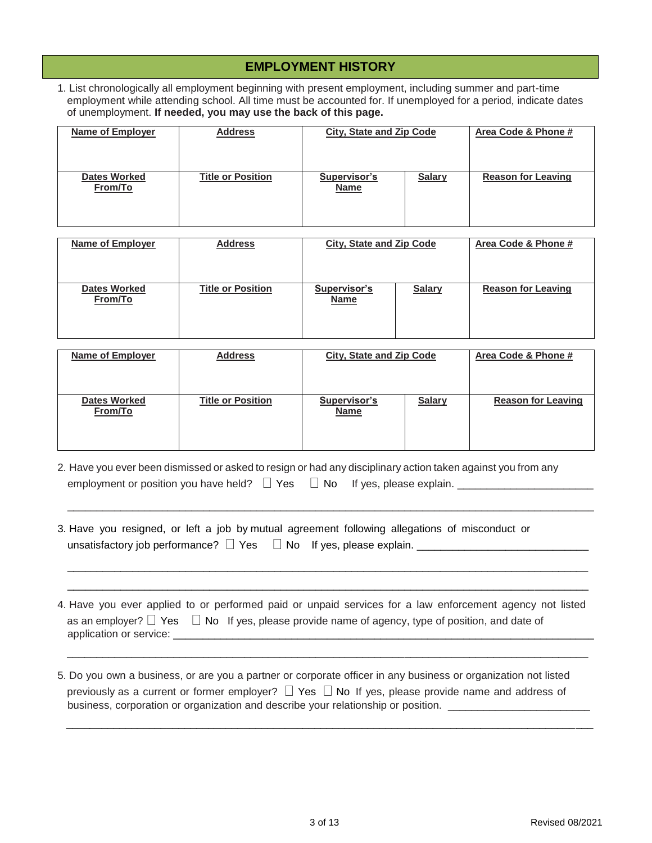#### **EMPLOYMENT HISTORY**

1. List chronologically all employment beginning with present employment, including summer and part-time employment while attending school. All time must be accounted for. If unemployed for a period, indicate dates of unemployment. **If needed, you may use the back of this page.**

| <b>Name of Employer</b>        | <b>Address</b>           | <b>City, State and Zip Code</b>    |               | Area Code & Phone #       |
|--------------------------------|--------------------------|------------------------------------|---------------|---------------------------|
| <b>Dates Worked</b><br>From/To | <b>Title or Position</b> | <b>Supervisor's</b><br><b>Name</b> | <b>Salary</b> | <b>Reason for Leaving</b> |

| Name of Employer               | <b>Address</b>           | <b>City, State and Zip Code</b> |               | Area Code & Phone #       |
|--------------------------------|--------------------------|---------------------------------|---------------|---------------------------|
| <b>Dates Worked</b><br>From/To | <b>Title or Position</b> | Supervisor's<br><b>Name</b>     | <b>Salary</b> | <b>Reason for Leaving</b> |

| <b>Name of Employer</b>        | <b>Address</b>           | <b>City, State and Zip Code</b> |               | Area Code & Phone #       |
|--------------------------------|--------------------------|---------------------------------|---------------|---------------------------|
| <b>Dates Worked</b><br>From/To | <b>Title or Position</b> | Supervisor's<br><b>Name</b>     | <b>Salary</b> | <b>Reason for Leaving</b> |

2. Have you ever been dismissed or asked to resign or had any disciplinary action taken against you from any employment or position you have held?  $\Box$  Yes  $\Box$  No If yes, please explain.  $\Box$ 

\_\_\_\_\_\_\_\_\_\_\_\_\_\_\_\_\_\_\_\_\_\_\_\_\_\_\_\_\_\_\_\_\_\_\_\_\_\_\_\_\_\_\_\_\_\_\_\_\_\_\_\_\_\_\_\_\_\_\_\_\_\_\_\_\_\_\_\_\_\_\_\_\_\_\_\_\_\_\_\_\_\_\_\_\_\_\_\_\_

\_\_\_\_\_\_\_\_\_\_\_\_\_\_\_\_\_\_\_\_\_\_\_\_\_\_\_\_\_\_\_\_\_\_\_\_\_\_\_\_\_\_\_\_\_\_\_\_\_\_\_\_\_\_\_\_\_\_\_\_\_\_\_\_\_\_\_\_\_\_\_\_\_\_\_\_\_\_\_\_\_\_\_\_\_\_\_\_ \_\_\_\_\_\_\_\_\_\_\_\_\_\_\_\_\_\_\_\_\_\_\_\_\_\_\_\_\_\_\_\_\_\_\_\_\_\_\_\_\_\_\_\_\_\_\_\_\_\_\_\_\_\_\_\_\_\_\_\_\_\_\_\_\_\_\_\_\_\_\_\_\_\_\_\_\_\_\_\_\_\_\_\_\_\_\_\_

- 3. Have you resigned, or left a job by mutual agreement following allegations of misconduct or unsatisfactory job performance?  $\Box$  Yes  $\Box$  No If yes, please explain.
- 4. Have you ever applied to or performed paid or unpaid services for a law enforcement agency not listed as an employer?  $\Box$  Yes  $\Box$  No If yes, please provide name of agency, type of position, and date of application or service: **with an allegeration**  $\alpha$  is a service of  $\alpha$

\_\_\_\_\_\_\_\_\_\_\_\_\_\_\_\_\_\_\_\_\_\_\_\_\_\_\_\_\_\_\_\_\_\_\_\_\_\_\_\_\_\_\_\_\_\_\_\_\_\_\_\_\_\_\_\_\_\_\_\_\_\_\_\_\_\_\_\_\_\_\_\_\_\_\_\_\_\_\_\_\_\_\_\_\_\_\_\_

5. Do you own a business, or are you a partner or corporate officer in any business or organization not listed previously as a current or former employer?  $\Box$  Yes  $\Box$  No If yes, please provide name and address of business, corporation or organization and describe your relationship or position.

\_\_\_\_\_\_\_\_\_\_\_\_\_\_\_\_\_\_\_\_\_\_\_\_\_\_\_\_\_\_\_\_\_\_\_\_\_\_\_\_\_\_\_\_\_\_\_\_\_\_\_\_\_\_\_\_\_\_\_\_\_\_\_\_\_\_\_\_\_\_\_\_\_\_\_\_\_\_\_\_\_\_\_\_\_\_\_\_\_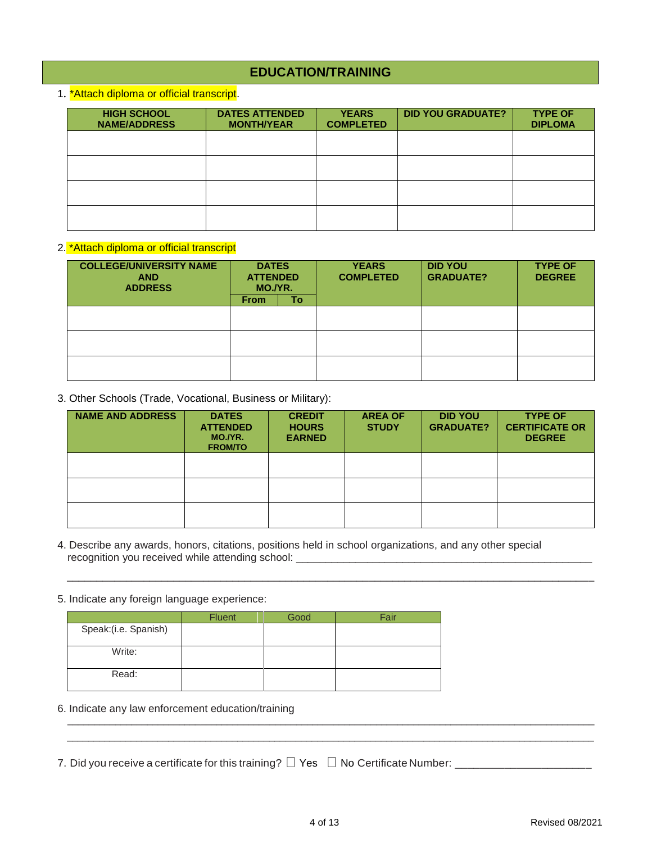### **EDUCATION/TRAINING**

1. \*Attach diploma or official transcript.

| <b>HIGH SCHOOL</b><br><b>NAME/ADDRESS</b> | <b>DATES ATTENDED</b><br><b>MONTH/YEAR</b> | <b>YEARS</b><br><b>COMPLETED</b> | <b>DID YOU GRADUATE?</b> | <b>TYPE OF</b><br><b>DIPLOMA</b> |
|-------------------------------------------|--------------------------------------------|----------------------------------|--------------------------|----------------------------------|
|                                           |                                            |                                  |                          |                                  |
|                                           |                                            |                                  |                          |                                  |
|                                           |                                            |                                  |                          |                                  |
|                                           |                                            |                                  |                          |                                  |

#### 2. \*Attach diploma or official transcript

| <b>COLLEGE/UNIVERSITY NAME</b><br><b>AND</b><br><b>ADDRESS</b> | <b>DATES</b><br><b>ATTENDED</b><br>MO./YR. |    | <b>YEARS</b><br><b>COMPLETED</b> | <b>DID YOU</b><br><b>GRADUATE?</b> | <b>TYPE OF</b><br><b>DEGREE</b> |
|----------------------------------------------------------------|--------------------------------------------|----|----------------------------------|------------------------------------|---------------------------------|
|                                                                | <b>From</b>                                | To |                                  |                                    |                                 |
|                                                                |                                            |    |                                  |                                    |                                 |
|                                                                |                                            |    |                                  |                                    |                                 |
|                                                                |                                            |    |                                  |                                    |                                 |
|                                                                |                                            |    |                                  |                                    |                                 |
|                                                                |                                            |    |                                  |                                    |                                 |
|                                                                |                                            |    |                                  |                                    |                                 |

3. Other Schools (Trade, Vocational, Business or Military):

| <b>NAME AND ADDRESS</b> | <b>DATES</b><br><b>ATTENDED</b><br>MO./YR.<br><b>FROM/TO</b> | <b>CREDIT</b><br><b>HOURS</b><br><b>EARNED</b> | <b>AREA OF</b><br><b>STUDY</b> | <b>DID YOU</b><br><b>GRADUATE?</b> | <b>TYPE OF</b><br><b>CERTIFICATE OR</b><br><b>DEGREE</b> |
|-------------------------|--------------------------------------------------------------|------------------------------------------------|--------------------------------|------------------------------------|----------------------------------------------------------|
|                         |                                                              |                                                |                                |                                    |                                                          |
|                         |                                                              |                                                |                                |                                    |                                                          |
|                         |                                                              |                                                |                                |                                    |                                                          |

\_\_\_\_\_\_\_\_\_\_\_\_\_\_\_\_\_\_\_\_\_\_\_\_\_\_\_\_\_\_\_\_\_\_\_\_\_\_\_\_\_\_\_\_\_\_\_\_\_\_\_\_\_\_\_\_\_\_\_\_\_\_\_\_\_\_\_\_\_\_\_\_\_\_\_\_\_\_\_\_\_\_\_\_\_\_\_\_\_

- 4. Describe any awards, honors, citations, positions held in school organizations, and any other special recognition you received while attending school: \_\_\_\_\_\_\_\_\_\_\_\_\_\_\_\_\_\_\_\_\_\_\_\_\_\_\_\_\_\_\_\_
- 5. Indicate any foreign language experience:

|                      | <b>Fluent</b> | Good | Fair |
|----------------------|---------------|------|------|
| Speak:(i.e. Spanish) |               |      |      |
| Write:               |               |      |      |
| Read:                |               |      |      |

- 6. Indicate any law enforcement education/training
- 7. Did you receive a certificate for this training? Yes No Certificate Number: \_\_\_\_\_\_\_\_\_\_\_\_\_\_\_\_\_\_\_\_\_\_

\_\_\_\_\_\_\_\_\_\_\_\_\_\_\_\_\_\_\_\_\_\_\_\_\_\_\_\_\_\_\_\_\_\_\_\_\_\_\_\_\_\_\_\_\_\_\_\_\_\_\_\_\_\_\_\_\_\_\_\_\_\_\_\_\_\_\_\_\_\_\_\_\_\_\_\_\_\_\_\_\_\_\_\_\_\_\_\_\_\_\_\_\_\_\_\_\_\_\_  $\bot$  , and the state of the state of the state of the state of the state of the state of the state of the state of the state of the state of the state of the state of the state of the state of the state of the state of th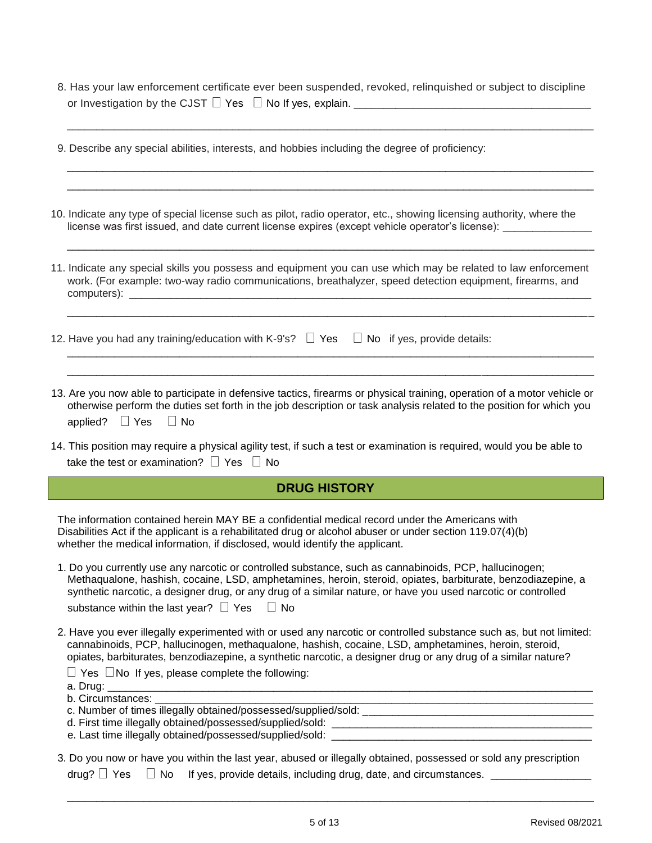8. Has your law enforcement certificate ever been suspended, revoked, relinquished or subject to discipline or Investigation by the CJST  $\Box$  Yes  $\Box$  No If yes, explain.  $\_\_$ 

| 9. Describe any special abilities, interests, and hobbies including the degree of proficiency:                                                                                                                                                                                                                                                                                                              |
|-------------------------------------------------------------------------------------------------------------------------------------------------------------------------------------------------------------------------------------------------------------------------------------------------------------------------------------------------------------------------------------------------------------|
| 10. Indicate any type of special license such as pilot, radio operator, etc., showing licensing authority, where the<br>license was first issued, and date current license expires (except vehicle operator's license): _________                                                                                                                                                                           |
| 11. Indicate any special skills you possess and equipment you can use which may be related to law enforcement<br>work. (For example: two-way radio communications, breathalyzer, speed detection equipment, firearms, and                                                                                                                                                                                   |
| 12. Have you had any training/education with K-9's? $\Box$ Yes $\Box$ No if yes, provide details:                                                                                                                                                                                                                                                                                                           |
| 13. Are you now able to participate in defensive tactics, firearms or physical training, operation of a motor vehicle or<br>otherwise perform the duties set forth in the job description or task analysis related to the position for which you<br>$\Box$ No<br>applied? $\Box$ Yes                                                                                                                        |
| 14. This position may require a physical agility test, if such a test or examination is required, would you be able to<br>take the test or examination? $\Box$ Yes $\Box$ No                                                                                                                                                                                                                                |
| <b>DRUG HISTORY</b>                                                                                                                                                                                                                                                                                                                                                                                         |
| The information contained herein MAY BE a confidential medical record under the Americans with<br>Disabilities Act if the applicant is a rehabilitated drug or alcohol abuser or under section 119.07(4)(b)<br>whether the medical information, if disclosed, would identify the applicant.                                                                                                                 |
| 1. Do you currently use any narcotic or controlled substance, such as cannabinoids, PCP, hallucinogen;<br>Methaqualone, hashish, cocaine, LSD, amphetamines, heroin, steroid, opiates, barbiturate, benzodiazepine, a<br>synthetic narcotic, a designer drug, or any drug of a similar nature, or have you used narcotic or controlled<br>substance within the last year? $\Box$ Yes<br>$\Box$ No           |
| 2. Have you ever illegally experimented with or used any narcotic or controlled substance such as, but not limited:<br>cannabinoids, PCP, hallucinogen, methaqualone, hashish, cocaine, LSD, amphetamines, heroin, steroid,<br>opiates, barbiturates, benzodiazepine, a synthetic narcotic, a designer drug or any drug of a similar nature?<br>$\Box$ Yes $\Box$ No If yes, please complete the following: |
| b. Circumstances:                                                                                                                                                                                                                                                                                                                                                                                           |
|                                                                                                                                                                                                                                                                                                                                                                                                             |

3. Do you now or have you within the last year, abused or illegally obtained, possessed or sold any prescription drug?  $\Box$  Yes  $\Box$  No If yes, provide details, including drug, date, and circumstances.  $\Box$ 

\_\_\_\_\_\_\_\_\_\_\_\_\_\_\_\_\_\_\_\_\_\_\_\_\_\_\_\_\_\_\_\_\_\_\_\_\_\_\_\_\_\_\_\_\_\_\_\_\_\_\_\_\_\_\_\_\_\_\_\_\_\_\_\_\_\_\_\_\_\_\_\_\_\_\_\_\_\_\_\_\_\_\_\_\_\_\_\_\_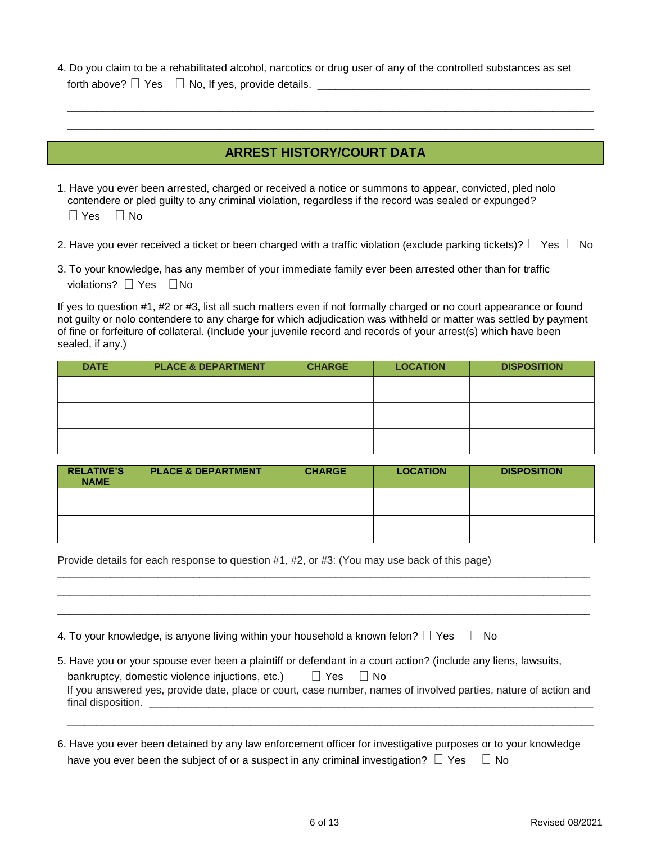| 4. Do you claim to be a rehabilitated alcohol, narcotics or drug user of any of the controlled substances as set<br>forth above? $\Box$ Yes $\Box$ No, If yes, provide details. $\Box$                                                   |
|------------------------------------------------------------------------------------------------------------------------------------------------------------------------------------------------------------------------------------------|
| <b>ARREST HISTORY/COURT DATA</b>                                                                                                                                                                                                         |
| 1. Have you ever been arrested, charged or received a notice or summons to appear, convicted, pled nolo<br>contendere or pled guilty to any criminal violation, regardless if the record was sealed or expunged?<br>$\Box$ Yes $\Box$ No |
| 2. Have you ever received a ticket or been charged with a traffic violation (exclude parking tickets)? $\Box$ Yes $\Box$ No<br>3. To your knowledge, has any member of your immediate family ever been arrested other than for traffic   |

violations?  $\Box$  Yes  $\Box$  No

I

If yes to question #1, #2 or #3, list all such matters even if not formally charged or no court appearance or found not guilty or nolo contendere to any charge for which adjudication was withheld or matter was settled by payment of fine or forfeiture of collateral. (Include your juvenile record and records of your arrest(s) which have been sealed, if any.)

| <b>DATE</b> | <b>PLACE &amp; DEPARTMENT</b> | <b>CHARGE</b> | <b>LOCATION</b> | <b>DISPOSITION</b> |
|-------------|-------------------------------|---------------|-----------------|--------------------|
|             |                               |               |                 |                    |
|             |                               |               |                 |                    |
|             |                               |               |                 |                    |
|             |                               |               |                 |                    |
|             |                               |               |                 |                    |
|             |                               |               |                 |                    |

| <b>RELATIVE'S</b><br><b>NAME</b> | <b>PLACE &amp; DEPARTMENT</b> | <b>CHARGE</b> | <b>LOCATION</b> | <b>DISPOSITION</b> |
|----------------------------------|-------------------------------|---------------|-----------------|--------------------|
|                                  |                               |               |                 |                    |
|                                  |                               |               |                 |                    |

\_\_\_\_\_\_\_\_\_\_\_\_\_\_\_\_\_\_\_\_\_\_\_\_\_\_\_\_\_\_\_\_\_\_\_\_\_\_\_\_\_\_\_\_\_\_\_\_\_\_\_\_\_\_\_\_\_\_\_\_\_\_\_\_\_\_\_\_\_\_\_\_\_\_\_\_\_\_\_\_\_\_\_\_\_\_\_\_\_\_ \_\_\_\_\_\_\_\_\_\_\_\_\_\_\_\_\_\_\_\_\_\_\_\_\_\_\_\_\_\_\_\_\_\_\_\_\_\_\_\_\_\_\_\_\_\_\_\_\_\_\_\_\_\_\_\_\_\_\_\_\_\_\_\_\_\_\_\_\_\_\_\_\_\_\_\_\_\_\_\_\_\_\_\_\_\_\_\_\_\_ \_\_\_\_\_\_\_\_\_\_\_\_\_\_\_\_\_\_\_\_\_\_\_\_\_\_\_\_\_\_\_\_\_\_\_\_\_\_\_\_\_\_\_\_\_\_\_\_\_\_\_\_\_\_\_\_\_\_\_\_\_\_\_\_\_\_\_\_\_\_\_\_\_\_\_\_\_\_\_\_\_\_\_\_\_\_\_\_\_\_

Provide details for each response to question #1, #2, or #3: (You may use back of this page)

4. To your knowledge, is anyone living within your household a known felon?  $\Box$  Yes  $\Box$  No

| 5. Have you or your spouse ever been a plaintiff or defendant in a court action? (include any liens, lawsuits,  |
|-----------------------------------------------------------------------------------------------------------------|
| ∐ Yes<br>bankruptcy, domestic violence injuctions, etc.)<br>⊟ No                                                |
| If you answered yes, provide date, place or court, case number, names of involved parties, nature of action and |
| final disposition.                                                                                              |

\_\_\_\_\_\_\_\_\_\_\_\_\_\_\_\_\_\_\_\_\_\_\_\_\_\_\_\_\_\_\_\_\_\_\_\_\_\_\_\_\_\_\_\_\_\_\_\_\_\_\_\_\_\_\_\_\_\_\_\_\_\_\_\_\_\_\_\_\_\_\_\_\_\_\_\_\_\_\_\_\_\_\_\_\_\_\_\_\_

6. Have you ever been detained by any law enforcement officer for investigative purposes or to your knowledge have you ever been the subject of or a suspect in any criminal investigation?  $\Box$  Yes  $\Box$  No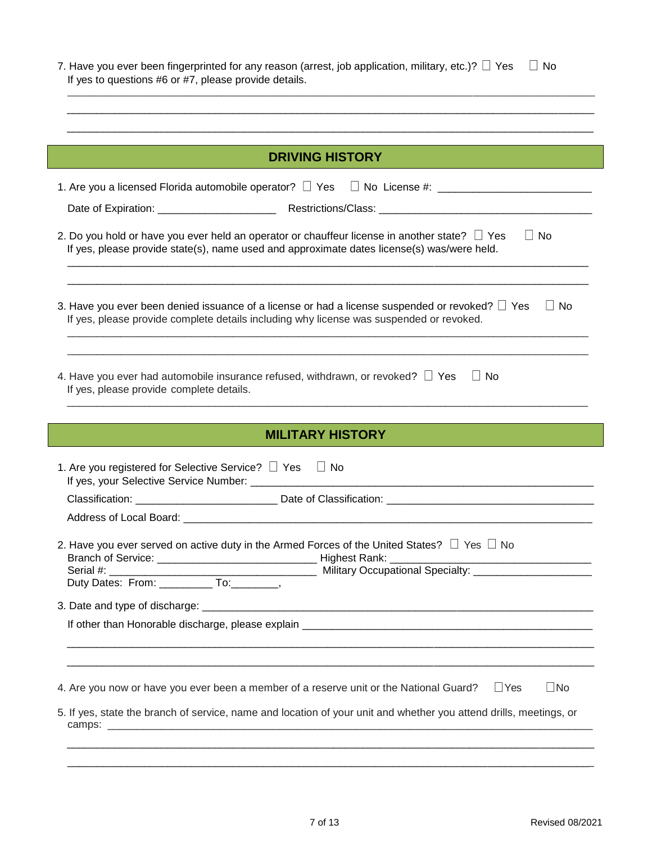| 7. Have you ever been fingerprinted for any reason (arrest, job application, military, etc.)? $\Box$ Yes $\Box$ No<br>If yes to questions #6 or #7, please provide details. |  |  |  |  |
|-----------------------------------------------------------------------------------------------------------------------------------------------------------------------------|--|--|--|--|
|                                                                                                                                                                             |  |  |  |  |
| <b>DRIVING HISTORY</b>                                                                                                                                                      |  |  |  |  |
| 1. Are you a licensed Florida automobile operator? $\Box$ Yes $\Box$ No License #:                                                                                          |  |  |  |  |

| 2. Do you hold or have you ever held an operator or chauffeur license in another state? $\Box$ Yes<br>⊟ No<br>If yes, please provide state(s), name used and approximate dates license(s) was/were held. |  |
|----------------------------------------------------------------------------------------------------------------------------------------------------------------------------------------------------------|--|
|                                                                                                                                                                                                          |  |

Date of Expiration: \_\_\_\_\_\_\_\_\_\_\_\_\_\_\_\_\_\_\_\_ Restrictions/Class: \_\_\_\_\_\_\_\_\_\_\_\_\_\_\_\_\_\_\_\_\_\_\_\_\_\_\_\_\_\_\_\_\_\_\_\_

| 3. Have you ever been denied issuance of a license or had a license suspended or revoked? $\Box$ Yes $\Box$ No |  |
|----------------------------------------------------------------------------------------------------------------|--|
| If yes, please provide complete details including why license was suspended or revoked.                        |  |

\_\_\_\_\_\_\_\_\_\_\_\_\_\_\_\_\_\_\_\_\_\_\_\_\_\_\_\_\_\_\_\_\_\_\_\_\_\_\_\_\_\_\_\_\_\_\_\_\_\_\_\_\_\_\_\_\_\_\_\_\_\_\_\_\_\_\_\_\_\_\_\_\_\_\_\_\_\_\_\_\_\_\_\_\_\_\_\_

\_\_\_\_\_\_\_\_\_\_\_\_\_\_\_\_\_\_\_\_\_\_\_\_\_\_\_\_\_\_\_\_\_\_\_\_\_\_\_\_\_\_\_\_\_\_\_\_\_\_\_\_\_\_\_\_\_\_\_\_\_\_\_\_\_\_\_\_\_\_\_\_\_\_\_\_\_\_\_\_\_\_\_\_\_\_\_\_ \_\_\_\_\_\_\_\_\_\_\_\_\_\_\_\_\_\_\_\_\_\_\_\_\_\_\_\_\_\_\_\_\_\_\_\_\_\_\_\_\_\_\_\_\_\_\_\_\_\_\_\_\_\_\_\_\_\_\_\_\_\_\_\_\_\_\_\_\_\_\_\_\_\_\_\_\_\_\_\_\_\_\_\_\_\_\_\_

| 4. Have you ever had automobile insurance refused, withdrawn, or revoked? $\Box$ Yes $\Box$ No |  |
|------------------------------------------------------------------------------------------------|--|
| If yes, please provide complete details.                                                       |  |
|                                                                                                |  |

| <b>MILITARY HISTORY</b>                                                                                                                                |
|--------------------------------------------------------------------------------------------------------------------------------------------------------|
|                                                                                                                                                        |
| 1. Are you registered for Selective Service? $\Box$ Yes $\Box$ No                                                                                      |
|                                                                                                                                                        |
|                                                                                                                                                        |
| 2. Have you ever served on active duty in the Armed Forces of the United States? $\Box$ Yes $\Box$ No<br>Duty Dates: From: ____________ To: _________, |
|                                                                                                                                                        |
|                                                                                                                                                        |
|                                                                                                                                                        |
|                                                                                                                                                        |
| 4. Are you now or have you ever been a member of a reserve unit or the National Guard? $\Box$ Yes<br>$\Box$ No                                         |
| 5. If yes, state the branch of service, name and location of your unit and whether you attend drills, meetings, or                                     |

camps: \_\_\_\_\_\_\_\_\_\_\_\_\_\_\_\_\_\_\_\_\_\_\_\_\_\_\_\_\_\_\_\_\_\_\_\_\_\_\_\_\_\_\_\_\_\_\_\_\_\_\_\_\_\_\_\_\_\_\_\_\_\_\_\_\_\_\_\_\_\_\_\_\_\_\_\_\_\_\_\_\_\_

\_\_\_\_\_\_\_\_\_\_\_\_\_\_\_\_\_\_\_\_\_\_\_\_\_\_\_\_\_\_\_\_\_\_\_\_\_\_\_\_\_\_\_\_\_\_\_\_\_\_\_\_\_\_\_\_\_\_\_\_\_\_\_\_\_\_\_\_\_\_\_\_\_\_\_\_\_\_\_\_\_\_\_\_\_\_\_\_\_ \_\_\_\_\_\_\_\_\_\_\_\_\_\_\_\_\_\_\_\_\_\_\_\_\_\_\_\_\_\_\_\_\_\_\_\_\_\_\_\_\_\_\_\_\_\_\_\_\_\_\_\_\_\_\_\_\_\_\_\_\_\_\_\_\_\_\_\_\_\_\_\_\_\_\_\_\_\_\_\_\_\_\_\_\_\_\_\_\_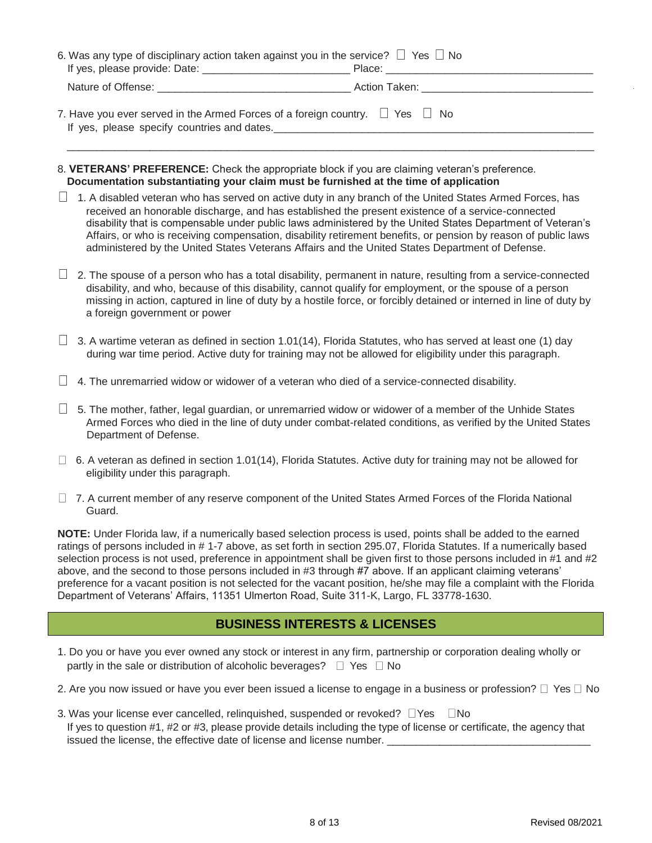| 6. Was any type of disciplinary action taken against you in the service? $\Box$ Yes $\Box$ No |  |
|-----------------------------------------------------------------------------------------------|--|
|                                                                                               |  |
| 7. Have you ever served in the Armed Forces of a foreign country. $\Box$ Yes $\Box$ No        |  |

- 8. **VETERANS' PREFERENCE:** Check the appropriate block if you are claiming veteran's preference. **Documentation substantiating your claim must be furnished at the time of application**
- $\Box$  1. A disabled veteran who has served on active duty in any branch of the United States Armed Forces, has received an honorable discharge, and has established the present existence of a service-connected disability that is compensable under public laws administered by the United States Department of Veteran's Affairs, or who is receiving compensation, disability retirement benefits, or pension by reason of public laws administered by the United States Veterans Affairs and the United States Department of Defense.
- $\Box$  2. The spouse of a person who has a total disability, permanent in nature, resulting from a service-connected disability, and who, because of this disability, cannot qualify for employment, or the spouse of a person missing in action, captured in line of duty by a hostile force, or forcibly detained or interned in line of duty by a foreign government or power
- $\Box$  3. A wartime veteran as defined in section 1.01(14), Florida Statutes, who has served at least one (1) day during war time period. Active duty for training may not be allowed for eligibility under this paragraph.
- $\Box$  4. The unremarried widow or widower of a veteran who died of a service-connected disability.
- $\Box$  5. The mother, father, legal guardian, or unremarried widow or widower of a member of the Unhide States Armed Forces who died in the line of duty under combat-related conditions, as verified by the United States Department of Defense.
- $\Box$  6. A veteran as defined in section 1.01(14), Florida Statutes. Active duty for training may not be allowed for eligibility under this paragraph.
- □ 7. A current member of any reserve component of the United States Armed Forces of the Florida National Guard.

**NOTE:** Under Florida law, if a numerically based selection process is used, points shall be added to the earned ratings of persons included in # 1-7 above, as set forth in section 295.07, Florida Statutes. If a numerically based selection process is not used, preference in appointment shall be given first to those persons included in #1 and #2 above, and the second to those persons included in #3 through #7 above. If an applicant claiming veterans' preference for a vacant position is not selected for the vacant position, he/she may file a complaint with the Florida Department of Veterans' Affairs, 11351 Ulmerton Road, Suite 311-K, Largo, FL 33778-1630.

#### **BUSINESS INTERESTS & LICENSES**

- 1. Do you or have you ever owned any stock or interest in any firm, partnership or corporation dealing wholly or partly in the sale or distribution of alcoholic beverages?  $\Box$  Yes  $\Box$  No
- 2. Are you now issued or have you ever been issued a license to engage in a business or profession?  $\Box$  Yes  $\Box$  No
- 3. Was your license ever cancelled, relinquished, suspended or revoked?  $\Box$  Yes  $\Box$  No If yes to question #1, #2 or #3, please provide details including the type of license or certificate, the agency that issued the license, the effective date of license and license number.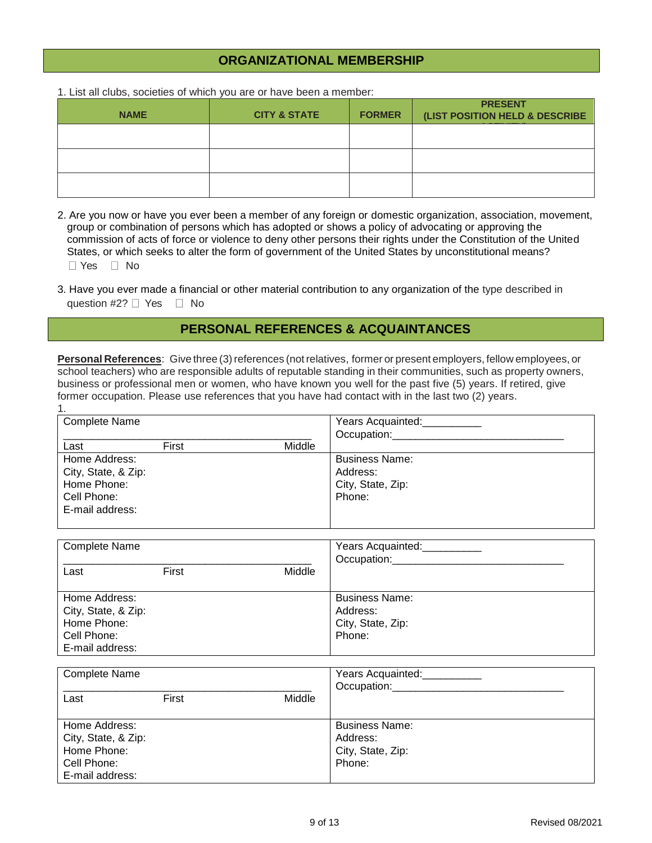### \_\_\_\_\_\_\_\_\_\_\_\_\_\_\_\_\_\_\_\_\_\_\_\_\_\_\_\_\_\_\_\_\_\_\_\_\_\_\_\_\_\_\_\_\_\_\_\_\_\_\_\_\_\_\_\_\_\_\_\_\_\_\_\_\_\_\_\_\_\_\_\_\_\_\_\_\_\_\_\_\_\_\_\_\_\_\_\_ **ORGANIZATIONAL MEMBERSHIP**

1. List all clubs, societies of which you are or have been a member:

1.

| <b>NAME</b> | <b>CITY &amp; STATE</b> | <b>FORMER</b> | <b>PRESENT</b><br>(LIST POSITION HELD & DESCRIBE |
|-------------|-------------------------|---------------|--------------------------------------------------|
|             |                         |               |                                                  |
|             |                         |               |                                                  |
|             |                         |               |                                                  |

2. Are you now or have you ever been a member of any foreign or domestic organization, association, movement, group or combination of persons which has adopted or shows a policy of advocating or approving the commission of acts of force or violence to deny other persons their rights under the Constitution of the United States, or which seeks to alter the form of government of the United States by unconstitutional means?  $\Box$  Yes  $\Box$  No

3. Have you ever made a financial or other material contribution to any organization of the type described in question #2?  $\Box$  Yes  $\Box$  No

### **PERSONAL REFERENCES & ACQUAINTANCES**

**Personal References**: Give three (3) references (not relatives, former or present employers, fellow employees, or school teachers) who are responsible adults of reputable standing in their communities, such as property owners, business or professional men or women, who have known you well for the past five (5) years. If retired, give former occupation. Please use references that you have had contact with in the last two (2) years.

| <b>Complete Name</b> |       |        | Years Acquainted:     |
|----------------------|-------|--------|-----------------------|
|                      |       |        | Occupation:           |
| Last                 | First | Middle |                       |
| Home Address:        |       |        | <b>Business Name:</b> |
| City, State, & Zip:  |       |        | Address:              |
| Home Phone:          |       |        | City, State, Zip:     |
| Cell Phone:          |       |        | Phone:                |
| E-mail address:      |       |        |                       |
|                      |       |        |                       |

| <b>Complete Name</b>                                                                  |       |        | Years Acquainted:<br>Occupation:                                 |
|---------------------------------------------------------------------------------------|-------|--------|------------------------------------------------------------------|
| Last                                                                                  | First | Middle |                                                                  |
| Home Address:<br>City, State, & Zip:<br>Home Phone:<br>Cell Phone:<br>E-mail address: |       |        | <b>Business Name:</b><br>Address:<br>City, State, Zip:<br>Phone: |

| <b>Complete Name</b><br>Last                                                          | First | Middle | Years Acquainted:<br>Occupation:                                 |
|---------------------------------------------------------------------------------------|-------|--------|------------------------------------------------------------------|
| Home Address:<br>City, State, & Zip:<br>Home Phone:<br>Cell Phone:<br>E-mail address: |       |        | <b>Business Name:</b><br>Address:<br>City, State, Zip:<br>Phone: |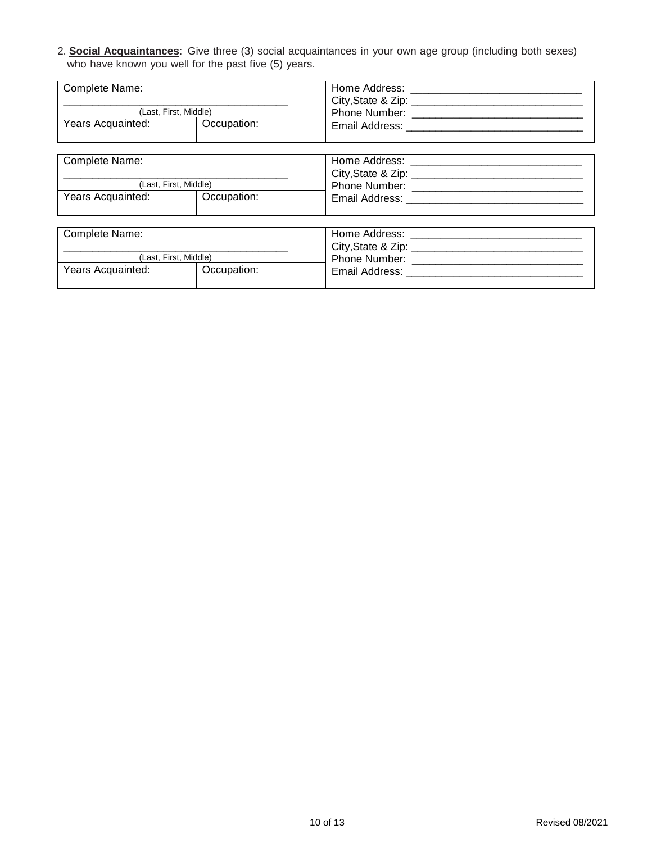2. **Social Acquaintances**: Give three (3) social acquaintances in your own age group (including both sexes) who have known you well for the past five (5) years.

| Complete Name:        |             | Home Address:<br>City, State & Zip: |
|-----------------------|-------------|-------------------------------------|
| (Last, First, Middle) |             | Phone Number:                       |
| Years Acquainted:     | Occupation: | Email Address:                      |

| Complete Name:        |             | Home Address:<br>City, State & Zip: |
|-----------------------|-------------|-------------------------------------|
| (Last. First. Middle) |             | <b>Phone Number:</b>                |
| Years Acquainted:     | Occupation: | Email Address:                      |

| Complete Name:        |             | Home Address:<br>City, State & Zip: |
|-----------------------|-------------|-------------------------------------|
| (Last, First, Middle) |             | <b>Phone Number:</b>                |
| Years Acquainted:     | Occupation: | Email Address:                      |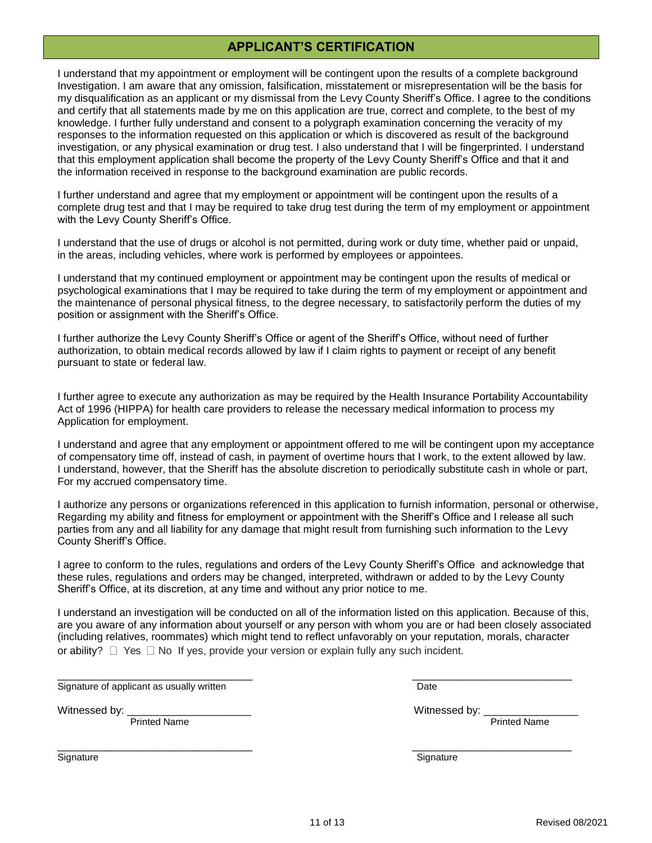#### **APPLICANT'S CERTIFICATION**

I understand that my appointment or employment will be contingent upon the results of a complete background Investigation. I am aware that any omission, falsification, misstatement or misrepresentation will be the basis for my disqualification as an applicant or my dismissal from the Levy County Sheriff's Office. I agree to the conditions and certify that all statements made by me on this application are true, correct and complete, to the best of my knowledge. I further fully understand and consent to a polygraph examination concerning the veracity of my responses to the information requested on this application or which is discovered as result of the background investigation, or any physical examination or drug test. I also understand that I will be fingerprinted. I understand that this employment application shall become the property of the Levy County Sheriff's Office and that it and the information received in response to the background examination are public records.

I further understand and agree that my employment or appointment will be contingent upon the results of a complete drug test and that I may be required to take drug test during the term of my employment or appointment with the Levy County Sheriff's Office.

I understand that the use of drugs or alcohol is not permitted, during work or duty time, whether paid or unpaid, in the areas, including vehicles, where work is performed by employees or appointees.

I understand that my continued employment or appointment may be contingent upon the results of medical or psychological examinations that I may be required to take during the term of my employment or appointment and the maintenance of personal physical fitness, to the degree necessary, to satisfactorily perform the duties of my position or assignment with the Sheriff's Office.

I further authorize the Levy County Sheriff's Office or agent of the Sheriff's Office, without need of further authorization, to obtain medical records allowed by law if I claim rights to payment or receipt of any benefit pursuant to state or federal law.

I further agree to execute any authorization as may be required by the Health Insurance Portability Accountability Act of 1996 (HIPPA) for health care providers to release the necessary medical information to process my Application for employment.

I understand and agree that any employment or appointment offered to me will be contingent upon my acceptance of compensatory time off, instead of cash, in payment of overtime hours that I work, to the extent allowed by law. I understand, however, that the Sheriff has the absolute discretion to periodically substitute cash in whole or part, For my accrued compensatory time.

I authorize any persons or organizations referenced in this application to furnish information, personal or otherwise, Regarding my ability and fitness for employment or appointment with the Sheriff's Office and I release all such parties from any and all liability for any damage that might result from furnishing such information to the Levy County Sheriff's Office.

I agree to conform to the rules, regulations and orders of the Levy County Sheriff's Office and acknowledge that these rules, regulations and orders may be changed, interpreted, withdrawn or added to by the Levy County Sheriff's Office, at its discretion, at any time and without any prior notice to me.

I understand an investigation will be conducted on all of the information listed on this application. Because of this, are you aware of any information about yourself or any person with whom you are or had been closely associated (including relatives, roommates) which might tend to reflect unfavorably on your reputation, morals, character or ability?  $\Box$  Yes  $\Box$  No If yes, provide your version or explain fully any such incident.

 $\frac{1}{2}$  ,  $\frac{1}{2}$  ,  $\frac{1}{2}$  ,  $\frac{1}{2}$  ,  $\frac{1}{2}$  ,  $\frac{1}{2}$  ,  $\frac{1}{2}$  ,  $\frac{1}{2}$  ,  $\frac{1}{2}$  ,  $\frac{1}{2}$  ,  $\frac{1}{2}$  ,  $\frac{1}{2}$  ,  $\frac{1}{2}$  ,  $\frac{1}{2}$  ,  $\frac{1}{2}$  ,  $\frac{1}{2}$  ,  $\frac{1}{2}$  ,  $\frac{1}{2}$  ,  $\frac{1$ 

 $\frac{1}{2}$  ,  $\frac{1}{2}$  ,  $\frac{1}{2}$  ,  $\frac{1}{2}$  ,  $\frac{1}{2}$  ,  $\frac{1}{2}$  ,  $\frac{1}{2}$  ,  $\frac{1}{2}$  ,  $\frac{1}{2}$  ,  $\frac{1}{2}$  ,  $\frac{1}{2}$  ,  $\frac{1}{2}$  ,  $\frac{1}{2}$  ,  $\frac{1}{2}$  ,  $\frac{1}{2}$  ,  $\frac{1}{2}$  ,  $\frac{1}{2}$  ,  $\frac{1}{2}$  ,  $\frac{1$ 

Signature of applicant as usually written Date Date Control of American Date Date

Printed Name **Printed Name** Printed Name **Printed Name** 

Witnessed by: \_\_\_\_\_\_\_\_\_\_\_\_\_\_\_\_\_\_\_\_\_ Witnessed by: \_\_\_\_\_\_\_\_\_\_\_\_\_\_\_\_

Signature Signature Signature Signature Signature Signature  $\sim$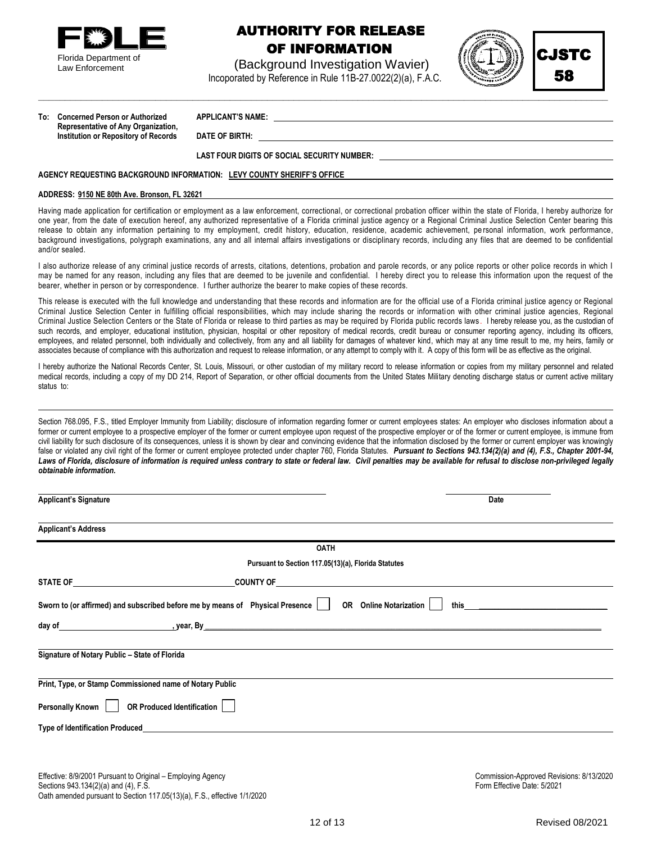

Law Enforcement

### AUTHORITY FOR RELEASE OF INFORMATION

 (Background Investigation Wavier) Incoporated by Reference in Rule 11B-27.0022(2)(a), F.A.C.

**\_\_\_\_\_\_\_\_\_\_\_\_\_\_\_\_\_\_\_\_\_\_\_\_\_\_\_\_\_\_\_\_\_\_\_\_\_\_\_\_\_\_\_\_\_\_\_\_\_\_\_\_\_\_\_\_\_\_\_\_\_\_\_\_\_\_\_\_\_\_\_\_\_\_\_\_\_\_\_\_\_\_\_\_\_\_\_\_\_\_\_\_\_\_\_\_\_\_\_\_\_\_\_\_\_\_\_**





**To: Concerned Person or Authorized APPLICANT'S NAME: Representative of Any Organization, Institution or Repository of Records DATE OF BIRTH:** 

**LAST FOUR DIGITS OF SOCIAL SECURITY NUMBER:** 

#### **AGENCY REQUESTING BACKGROUND INFORMATION: LEVY COUNTY SHERIFF'S OFFICE**

#### **ADDRESS: 9150 NE 80th Ave. Bronson, FL 32621**

Having made application for certification or employment as a law enforcement, correctional, or correctional probation officer within the state of Florida, I hereby authorize for one year, from the date of execution hereof, any authorized representative of a Florida criminal justice agency or a Regional Criminal Justice Selection Center bearing this release to obtain any information pertaining to my employment, credit history, education, residence, academic achievement, pe rsonal information, work performance, background investigations, polygraph examinations, any and all internal affairs investigations or disciplinary records, inclu ding any files that are deemed to be confidential and/or sealed.

I also authorize release of any criminal justice records of arrests, citations, detentions, probation and parole records, or any police reports or other police records in which I may be named for any reason, including any files that are deemed to be juvenile and confidential. I hereby direct you to release this information upon the request of the bearer, whether in person or by correspondence. I further authorize the bearer to make copies of these records.

This release is executed with the full knowledge and understanding that these records and information are for the official use of a Florida criminal justice agency or Regional Criminal Justice Selection Center in fulfilling official responsibilities, which may include sharing the records or information with other criminal justice agencies, Regional Criminal Justice Selection Centers or the State of Florida or release to third parties as may be required by Florida public records laws . I hereby release you, as the custodian of such records, and employer, educational institution, physician, hospital or other repository of medical records, credit bureau or consumer reporting agency, including its officers, employees, and related personnel, both individually and collectively, from any and all liability for damages of whatever kind, which may at any time result to me, my heirs, family or associates because of compliance with this authorization and request to release information, or any attempt to comply with it. A copy of this form will be as effective as the original.

I hereby authorize the National Records Center, St. Louis, Missouri, or other custodian of my military record to release information or copies from my military personnel and related medical records, including a copy of my DD 214, Report of Separation, or other official documents from the United States Military denoting discharge status or current active military status to:

Section 768.095, F.S., titled Employer Immunity from Liability; disclosure of information regarding former or current employees states: An employer who discloses information about a former or current employee to a prospective employer of the former or current employee upon request of the prospective employer or of the former or current employee, is immune from civil liability for such disclosure of its consequences, unless it is shown by clear and convincing evidence that the information disclosed by the former or current employer was knowingly false or violated any civil right of the former or current employee protected under chapter 760, Florida Statutes. *Pursuant to Section[s 943.134\(2](file:///C:/Users/pkennedy/Downloads/2001-943.134.doc))(a) and (4), F.S., Chapter 2001-94,*  Laws of Florida, disclosure of information is required unless contrary to state or federal law. Civil penalties may be available for refusal to disclose non-privileged legally *obtainable information.*

| <b>Applicant's Signature</b>                                                                                                                                                                                                        | Date                                                                                                                                                                                                                           |
|-------------------------------------------------------------------------------------------------------------------------------------------------------------------------------------------------------------------------------------|--------------------------------------------------------------------------------------------------------------------------------------------------------------------------------------------------------------------------------|
| <b>Applicant's Address</b>                                                                                                                                                                                                          |                                                                                                                                                                                                                                |
| <b>OATH</b>                                                                                                                                                                                                                         |                                                                                                                                                                                                                                |
| Pursuant to Section 117.05(13)(a), Florida Statutes                                                                                                                                                                                 |                                                                                                                                                                                                                                |
|                                                                                                                                                                                                                                     |                                                                                                                                                                                                                                |
| Sworn to (or affirmed) and subscribed before me by means of Physical Presence    <br><b>OR</b> Online Notarization                                                                                                                  | this the contract of the contract of the contract of the contract of the contract of the contract of the contract of the contract of the contract of the contract of the contract of the contract of the contract of the contr |
| day of the contract of the contract of the contract of the contract of the contract of the contract of the contract of the contract of the contract of the contract of the contract of the contract of the contract of the con      |                                                                                                                                                                                                                                |
| Signature of Notary Public - State of Florida                                                                                                                                                                                       |                                                                                                                                                                                                                                |
| Print, Type, or Stamp Commissioned name of Notary Public                                                                                                                                                                            |                                                                                                                                                                                                                                |
| Personally Known<br><b>OR Produced Identification</b>                                                                                                                                                                               |                                                                                                                                                                                                                                |
| Type of Identification Produced <b>Example 20</b> Section 20 and 20 Section 20 and 20 and 20 and 20 and 20 and 20 and 20 and 20 and 20 and 20 and 20 and 20 and 20 and 20 and 20 and 20 and 20 and 20 and 20 and 20 and 20 and 20 a |                                                                                                                                                                                                                                |

Effective: 8/9/2001 Pursuant to Original – Employing Agency Commission-Approved Revisions: 8/13/2020<br>Sections 943 134/2)(a) and (4) F.S. Commission-Sections: 8/13/2020 Proved Revisions: 8/13/2020 Sections  $943.134(2)(a)$  and  $(4)$ , F.S. Oath amended pursuant to Section 117.05(13)(a), F.S., effective 1/1/2020